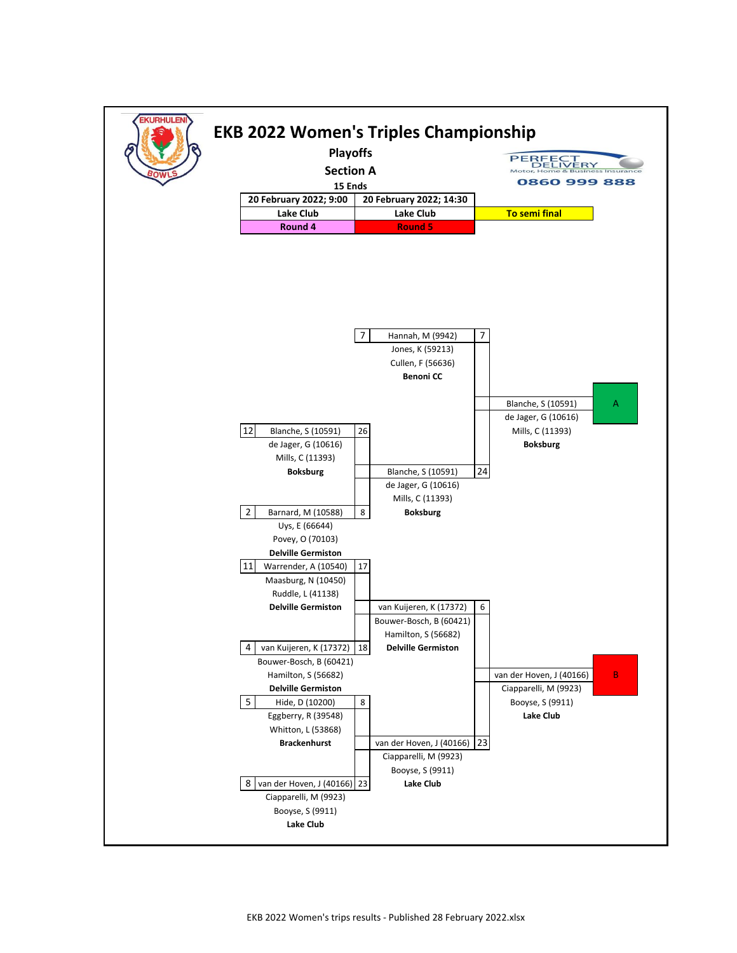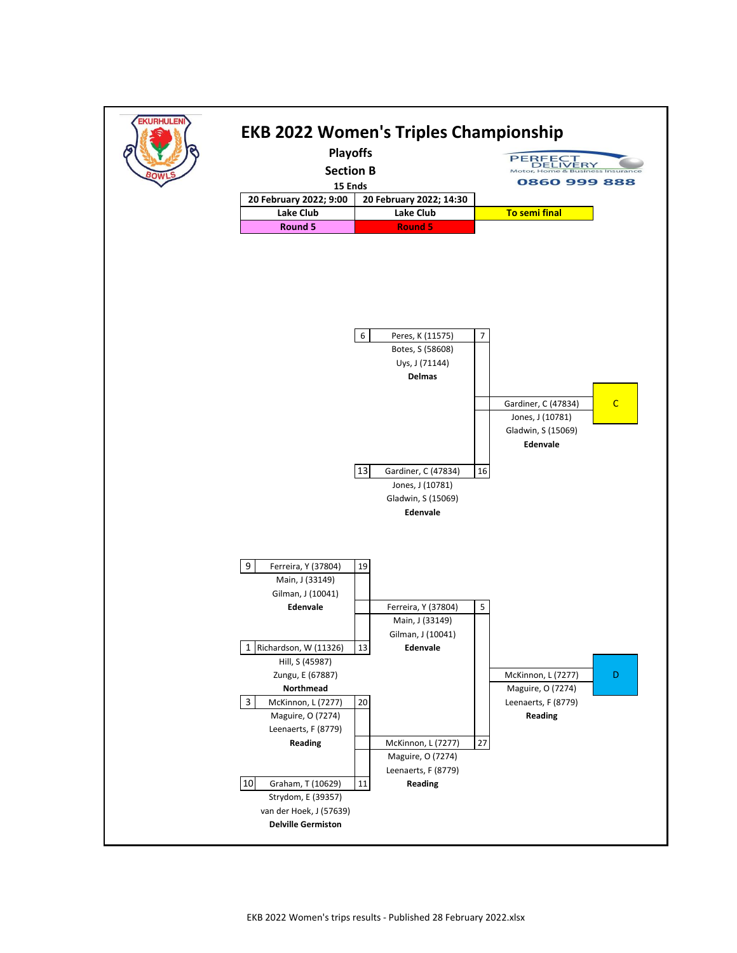